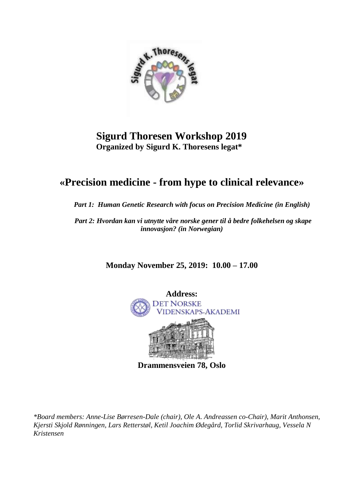

## **Sigurd Thoresen Workshop 2019 Organized by Sigurd K. Thoresens legat\***

# **«Precision medicine - from hype to clinical relevance»**

 *Part 1: Human Genetic Research with focus on Precision Medicine (in English)*

 *Part 2: Hvordan kan vi utnytte våre norske gener til å bedre folkehelsen og skape innovasjon? (in Norwegian)*

**Monday November 25, 2019: 10.00 – 17.00**



*\*Board members: Anne-Lise Børresen-Dale (chair), Ole A. Andreassen co-Chair), Marit Anthonsen, Kjersti Skjold Rønningen, Lars Retterstøl, Ketil Joachim Ødegård, Torlid Skrivarhaug, Vessela N Kristensen*